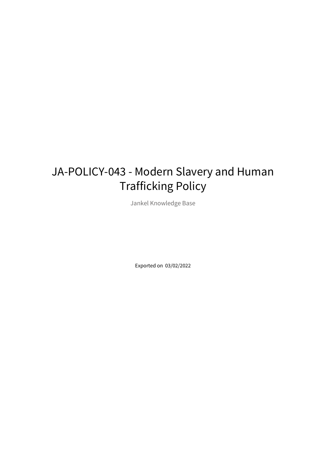# JA-POLICY-043 - Modern Slavery and Human Trafficking Policy

Jankel Knowledge Base

Exported on 03/02/2022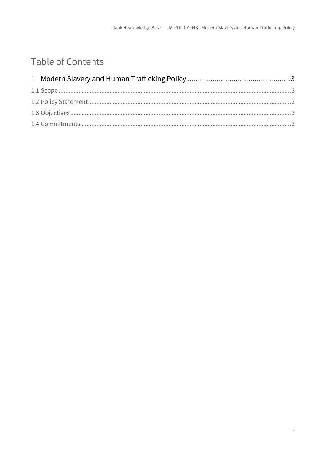## Table of Contents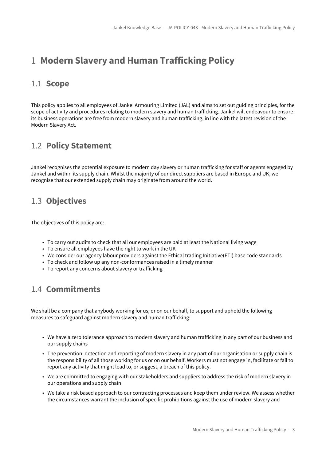### <span id="page-2-0"></span>1 **Modern Slavery and Human Trafficking Policy**

#### <span id="page-2-1"></span>1.1 **Scope**

This policy applies to all employees of Jankel Armouring Limited (JAL) and aims to set out guiding principles, for the scope of activity and procedures relating to modern slavery and human trafficking. Jankel will endeavour to ensure its business operations are free from modern slavery and human trafficking, in line with the latest revision of the Modern Slavery Act.

#### <span id="page-2-2"></span>1.2 **Policy Statement**

Jankel recognises the potential exposure to modern day slavery or human trafficking for staff or agents engaged by Jankel and within its supply chain. Whilst the majority of our direct suppliers are based in Europe and UK, we recognise that our extended supply chain may originate from around the world.

#### <span id="page-2-3"></span>1.3 **Objectives**

The objectives of this policy are:

- To carry out audits to check that all our employees are paid at least the National living wage
- To ensure all employees have the right to work in the UK
- We consider our agency labour providers against the Ethical trading Initiative(ETI) base code standards
- To check and follow up any non-conformances raised in a timely manner
- To report any concerns about slavery or trafficking

#### <span id="page-2-4"></span>1.4 **Commitments**

We shall be a company that anybody working for us, or on our behalf, to support and uphold the following measures to safeguard against modern slavery and human trafficking:

- We have a zero tolerance approach to modern slavery and human trafficking in any part of our business and our supply chains
- The prevention, detection and reporting of modern slavery in any part of our organisation or supply chain is the responsibility of all those working for us or on our behalf. Workers must not engage in, facilitate or fail to report any activity that might lead to, or suggest, a breach of this policy.
- We are committed to engaging with our stakeholders and suppliers to address the risk of modern slavery in our operations and supply chain
- We take a risk based approach to our contracting processes and keep them under review. We assess whether the circumstances warrant the inclusion of specific prohibitions against the use of modern slavery and